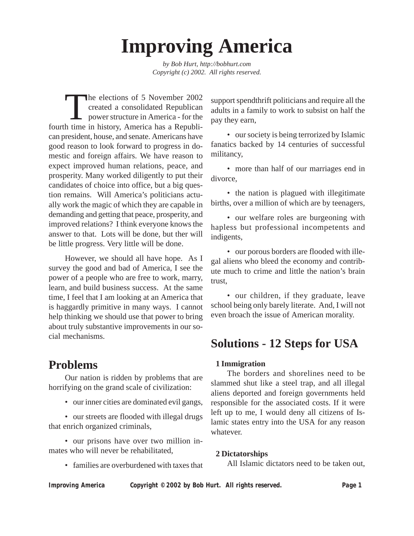# **Improving America**

*by Bob Hurt, http://bobhurt.com Copyright (c) 2002. All rights reserved.*

The elections of 5 November 2002<br>
created a consolidated Republican<br>
power structure in America - for the<br>
h time in history. America has a Popublic created a consolidated Republican power structure in America - for the fourth time in history, America has a Republican president, house, and senate. Americans have good reason to look forward to progress in domestic and foreign affairs. We have reason to expect improved human relations, peace, and prosperity. Many worked diligently to put their candidates of choice into office, but a big question remains. Will America's politicians actually work the magic of which they are capable in demanding and getting that peace, prosperity, and improved relations? I think everyone knows the answer to that. Lots will be done, but ther will be little progress. Very little will be done.

However, we should all have hope. As I survey the good and bad of America, I see the power of a people who are free to work, marry, learn, and build business success. At the same time, I feel that I am looking at an America that is haggardly primitive in many ways. I cannot help thinking we should use that power to bring about truly substantive improvements in our social mechanisms.

## **Problems**

Our nation is ridden by problems that are horrifying on the grand scale of civilization:

• our inner cities are dominated evil gangs,

• our streets are flooded with illegal drugs that enrich organized criminals,

• our prisons have over two million inmates who will never be rehabilitated,

• families are overburdened with taxes that

support spendthrift politicians and require all the adults in a family to work to subsist on half the pay they earn,

• our society is being terrorized by Islamic fanatics backed by 14 centuries of successful militancy,

• more than half of our marriages end in divorce,

• the nation is plagued with illegitimate births, over a million of which are by teenagers,

• our welfare roles are burgeoning with hapless but professional incompetents and indigents,

• our porous borders are flooded with illegal aliens who bleed the economy and contribute much to crime and little the nation's brain trust,

• our children, if they graduate, leave school being only barely literate. And, I will not even broach the issue of American morality.

## **Solutions - 12 Steps for USA**

#### **1 Immigration**

The borders and shorelines need to be slammed shut like a steel trap, and all illegal aliens deported and foreign governments held responsible for the associated costs. If it were left up to me, I would deny all citizens of Islamic states entry into the USA for any reason whatever.

#### **2 Dictatorships**

All Islamic dictators need to be taken out,

*Improving America Copyright © 2002 by Bob Hurt. All rights reserved. Page 1*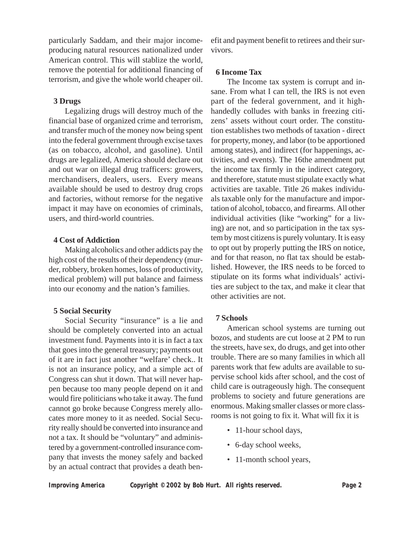particularly Saddam, and their major incomeproducing natural resources nationalized under American control. This will stablize the world, remove the potential for additional financing of terrorism, and give the whole world cheaper oil.

#### **3 Drugs**

Legalizing drugs will destroy much of the financial base of organized crime and terrorism, and transfer much of the money now being spent into the federal government through excise taxes (as on tobacco, alcohol, and gasoline). Until drugs are legalized, America should declare out and out war on illegal drug trafficers: growers, merchandisers, dealers, users. Every means available should be used to destroy drug crops and factories, without remorse for the negative impact it may have on economies of criminals, users, and third-world countries.

#### **4 Cost of Addiction**

Making alcoholics and other addicts pay the high cost of the results of their dependency (murder, robbery, broken homes, loss of productivity, medical problem) will put balance and fairness into our economy and the nation's families.

#### **5 Social Security**

Social Security "insurance" is a lie and should be completely converted into an actual investment fund. Payments into it is in fact a tax that goes into the general treasury; payments out of it are in fact just another "welfare' check.. It is not an insurance policy, and a simple act of Congress can shut it down. That will never happen because too many people depend on it and would fire politicians who take it away. The fund cannot go broke because Congress merely allocates more money to it as needed. Social Security really should be converted into insurance and not a tax. It should be "voluntary" and administered by a government-controlled insurance company that invests the money safely and backed by an actual contract that provides a death benefit and payment benefit to retirees and their survivors.

#### **6 Income Tax**

The Income tax system is corrupt and insane. From what I can tell, the IRS is not even part of the federal government, and it highhandedly colludes with banks in freezing citizens' assets without court order. The constitution establishes two methods of taxation - direct for property, money, and labor (to be apportioned among states), and indirect (for happenings, activities, and events). The 16the amendment put the income tax firmly in the indirect category, and therefore, statute must stipulate exactly what activities are taxable. Title 26 makes individuals taxable only for the manufacture and importation of alcohol, tobacco, and firearms. All other individual activities (like "working" for a living) are not, and so participation in the tax system by most citizens is purely voluntary. It is easy to opt out by properly putting the IRS on notice, and for that reason, no flat tax should be established. However, the IRS needs to be forced to stipulate on its forms what individuals' activities are subject to the tax, and make it clear that other activities are not.

#### **7 Schools**

American school systems are turning out bozos, and students are cut loose at 2 PM to run the streets, have sex, do drugs, and get into other trouble. There are so many families in which all parents work that few adults are available to supervise school kids after school, and the cost of child care is outrageously high. The consequent problems to society and future generations are enormous. Making smaller classes or more classrooms is not going to fix it. What will fix it is

- 11-hour school days,
- 6-day school weeks,
- 11-month school years,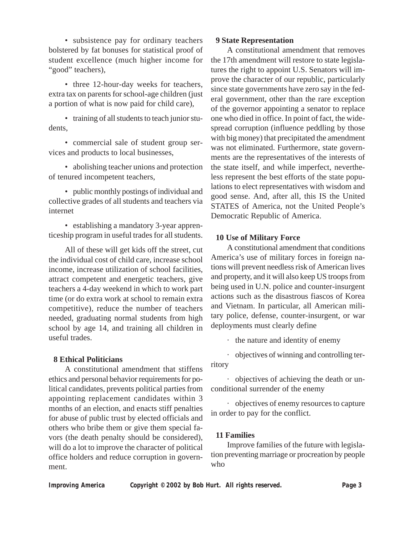• subsistence pay for ordinary teachers bolstered by fat bonuses for statistical proof of student excellence (much higher income for "good" teachers),

• three 12-hour-day weeks for teachers, extra tax on parents for school-age children (just a portion of what is now paid for child care),

• training of all students to teach junior students,

• commercial sale of student group services and products to local businesses,

• abolishing teacher unions and protection of tenured incompetent teachers,

• public monthly postings of individual and collective grades of all students and teachers via internet

• establishing a mandatory 3-year apprenticeship program in useful trades for all students.

All of these will get kids off the street, cut the individual cost of child care, increase school income, increase utilization of school facilities, attract competent and energetic teachers, give teachers a 4-day weekend in which to work part time (or do extra work at school to remain extra competitive), reduce the number of teachers needed, graduating normal students from high school by age 14, and training all children in useful trades.

#### **8 Ethical Politicians**

A constitutional amendment that stiffens ethics and personal behavior requirements for political candidates, prevents political parties from appointing replacement candidates within 3 months of an election, and enacts stiff penalties for abuse of public trust by elected officials and others who bribe them or give them special favors (the death penalty should be considered), will do a lot to improve the character of political office holders and reduce corruption in government.

#### **9 State Representation**

A constitutional amendment that removes the 17th amendment will restore to state legislatures the right to appoint U.S. Senators will improve the character of our republic, particularly since state governments have zero say in the federal government, other than the rare exception of the governor appointing a senator to replace one who died in office. In point of fact, the widespread corruption (influence peddling by those with big money) that precipitated the amendment was not eliminated. Furthermore, state governments are the representatives of the interests of the state itself, and while imperfect, nevertheless represent the best efforts of the state populations to elect representatives with wisdom and good sense. And, after all, this IS the United STATES of America, not the United People's Democratic Republic of America.

#### **10 Use of Military Force**

A constitutional amendment that conditions America's use of military forces in foreign nations will prevent needless risk of American lives and property, and it will also keep US troops from being used in U.N. police and counter-insurgent actions such as the disastrous fiascos of Korea and Vietnam. In particular, all American military police, defense, counter-insurgent, or war deployments must clearly define

· the nature and identity of enemy

· objectives of winning and controlling ter-

ritory

· objectives of achieving the death or unconditional surrender of the enemy

· objectives of enemy resources to capture in order to pay for the conflict.

#### **11 Families**

Improve families of the future with legislation preventing marriage or procreation by people who